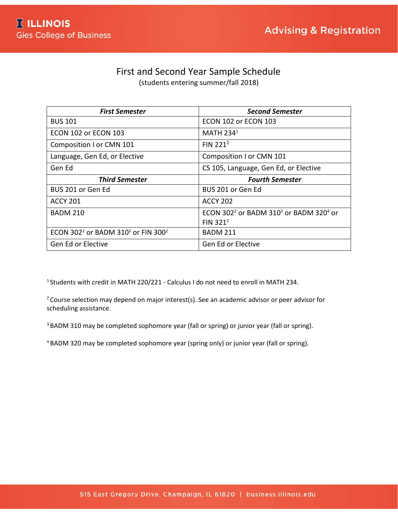## First and Second Year Sample Schedule

(students entering summer/fall 2018)

| <b>First Semester</b>                                                  | <b>Second Semester</b>                                                     |  |  |
|------------------------------------------------------------------------|----------------------------------------------------------------------------|--|--|
| <b>BUS 101</b>                                                         | <b>ECON 102 or ECON 103</b>                                                |  |  |
| ECON 102 or ECON 103                                                   | <b>MATH 2341</b>                                                           |  |  |
| Composition I or CMN 101                                               | FIN $221^2$                                                                |  |  |
| Language, Gen Ed, or Elective                                          | Composition I or CMN 101                                                   |  |  |
| Gen Ed                                                                 | CS 105, Language, Gen Ed, or Elective                                      |  |  |
| <b>Third Semester</b>                                                  | <b>Fourth Semester</b>                                                     |  |  |
| BUS 201 or Gen Ed                                                      | BUS 201 or Gen Ed                                                          |  |  |
| <b>ACCY 201</b>                                                        | <b>ACCY 202</b>                                                            |  |  |
| <b>BADM 210</b>                                                        | ECON 302 <sup>2</sup> or BADM 310 <sup>3</sup> or BADM 320 <sup>4</sup> or |  |  |
|                                                                        | FIN $321^2$                                                                |  |  |
| ECON 302 <sup>2</sup> or BADM 310 <sup>3</sup> or FIN 300 <sup>2</sup> | <b>BADM 211</b>                                                            |  |  |
| Gen Ed or Elective                                                     | Gen Ed or Elective                                                         |  |  |

<sup>1</sup> Students with credit in MATH 220/221 - Calculus I do not need to enroll in MATH 234.

 $2$  Course selection may depend on major interest(s). See an academic advisor or peer advisor for scheduling assistance.

<sup>3</sup> BADM 310 may be completed sophomore year (fall or spring) or junior year (fall or spring).

4 BADM 320 may be completed sophomore year (spring only) or junior year (fall or spring).